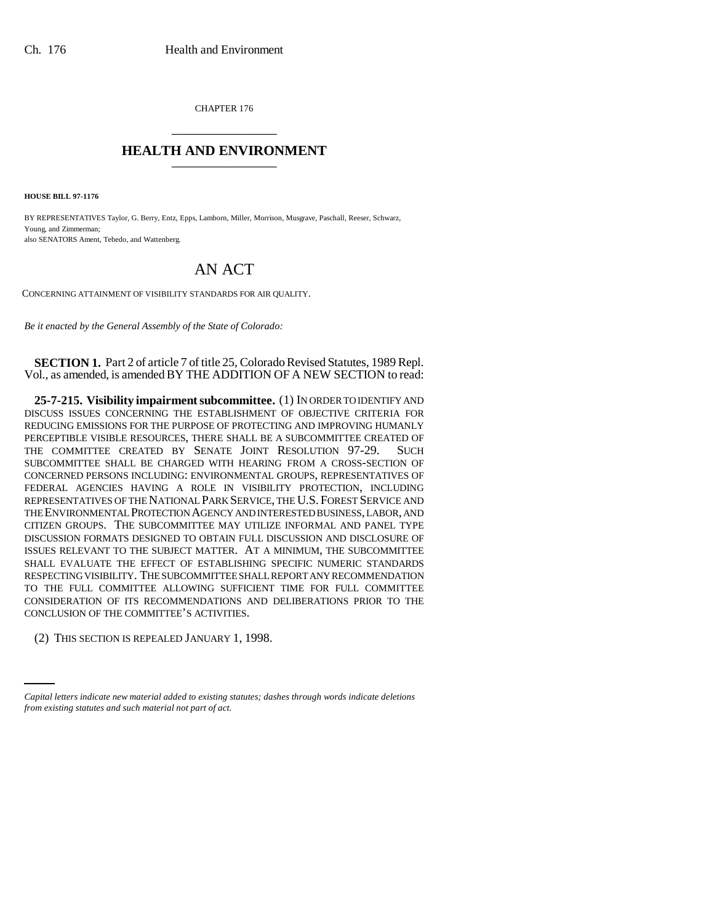CHAPTER 176 \_\_\_\_\_\_\_\_\_\_\_\_\_\_\_

## **HEALTH AND ENVIRONMENT** \_\_\_\_\_\_\_\_\_\_\_\_\_\_\_

**HOUSE BILL 97-1176**

BY REPRESENTATIVES Taylor, G. Berry, Entz, Epps, Lamborn, Miller, Morrison, Musgrave, Paschall, Reeser, Schwarz, Young, and Zimmerman; also SENATORS Ament, Tebedo, and Wattenberg.

## AN ACT

CONCERNING ATTAINMENT OF VISIBILITY STANDARDS FOR AIR QUALITY.

*Be it enacted by the General Assembly of the State of Colorado:*

**SECTION 1.** Part 2 of article 7 of title 25, Colorado Revised Statutes, 1989 Repl. Vol., as amended, is amended BY THE ADDITION OF A NEW SECTION to read:

**25-7-215. Visibility impairment subcommittee.** (1) IN ORDER TO IDENTIFY AND DISCUSS ISSUES CONCERNING THE ESTABLISHMENT OF OBJECTIVE CRITERIA FOR REDUCING EMISSIONS FOR THE PURPOSE OF PROTECTING AND IMPROVING HUMANLY PERCEPTIBLE VISIBLE RESOURCES, THERE SHALL BE A SUBCOMMITTEE CREATED OF THE COMMITTEE CREATED BY SENATE JOINT RESOLUTION 97-29. SUCH SUBCOMMITTEE SHALL BE CHARGED WITH HEARING FROM A CROSS-SECTION OF CONCERNED PERSONS INCLUDING: ENVIRONMENTAL GROUPS, REPRESENTATIVES OF FEDERAL AGENCIES HAVING A ROLE IN VISIBILITY PROTECTION, INCLUDING REPRESENTATIVES OF THE NATIONAL PARK SERVICE, THE U.S. FOREST SERVICE AND THE ENVIRONMENTAL PROTECTION AGENCY AND INTERESTED BUSINESS, LABOR, AND CITIZEN GROUPS. THE SUBCOMMITTEE MAY UTILIZE INFORMAL AND PANEL TYPE DISCUSSION FORMATS DESIGNED TO OBTAIN FULL DISCUSSION AND DISCLOSURE OF ISSUES RELEVANT TO THE SUBJECT MATTER. AT A MINIMUM, THE SUBCOMMITTEE SHALL EVALUATE THE EFFECT OF ESTABLISHING SPECIFIC NUMERIC STANDARDS RESPECTING VISIBILITY. THE SUBCOMMITTEE SHALL REPORT ANY RECOMMENDATION TO THE FULL COMMITTEE ALLOWING SUFFICIENT TIME FOR FULL COMMITTEE CONSIDERATION OF ITS RECOMMENDATIONS AND DELIBERATIONS PRIOR TO THE CONCLUSION OF THE COMMITTEE'S ACTIVITIES.

(2) THIS SECTION IS REPEALED JANUARY 1, 1998.

*Capital letters indicate new material added to existing statutes; dashes through words indicate deletions from existing statutes and such material not part of act.*